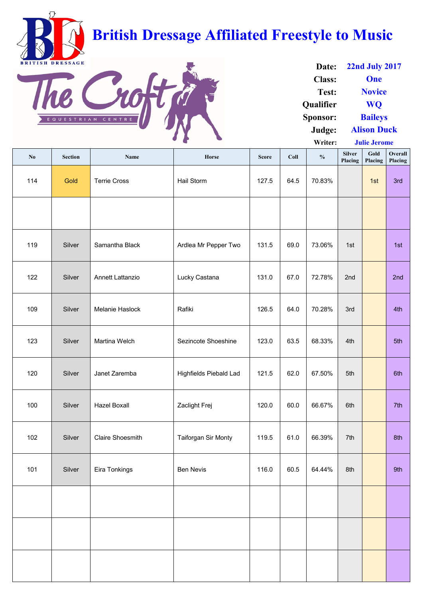

| No  | <b>Section</b> | Name                    | Horse                         | <b>Score</b> | Coll | $\frac{0}{0}$ | <b>Silver</b><br>Placing | Gold<br>Placing | Overall<br>Placing |
|-----|----------------|-------------------------|-------------------------------|--------------|------|---------------|--------------------------|-----------------|--------------------|
| 114 | Gold           | <b>Terrie Cross</b>     | Hail Storm                    | 127.5        | 64.5 | 70.83%        |                          | 1st             | 3rd                |
|     |                |                         |                               |              |      |               |                          |                 |                    |
| 119 | Silver         | Samantha Black          | Ardlea Mr Pepper Two          | 131.5        | 69.0 | 73.06%        | 1st                      |                 | 1st                |
| 122 | Silver         | <b>Annett Lattanzio</b> | Lucky Castana                 | 131.0        | 67.0 | 72.78%        | 2nd                      |                 | 2nd                |
| 109 | Silver         | Melanie Haslock         | Rafiki                        | 126.5        | 64.0 | 70.28%        | 3rd                      |                 | 4th                |
| 123 | Silver         | Martina Welch           | <b>Sezincote Shoeshine</b>    | 123.0        | 63.5 | 68.33%        | 4th                      |                 | 5th                |
| 120 | Silver         | Janet Zaremba           | <b>Highfields Piebald Lad</b> | 121.5        | 62.0 | 67.50%        | 5th                      |                 | 6th                |
| 100 | Silver         | <b>Hazel Boxall</b>     | Zaclight Frej                 | 120.0        | 60.0 | 66.67%        | 6th                      |                 | 7th                |
| 102 | Silver         | <b>Claire Shoesmith</b> | <b>Taiforgan Sir Monty</b>    | 119.5        | 61.0 | 66.39%        | 7th                      |                 | 8th                |
| 101 | Silver         | Eira Tonkings           | <b>Ben Nevis</b>              | 116.0        | 60.5 | 64.44%        | 8th                      |                 | 9th                |
|     |                |                         |                               |              |      |               |                          |                 |                    |
|     |                |                         |                               |              |      |               |                          |                 |                    |
|     |                |                         |                               |              |      |               |                          |                 |                    |

| Date:            | <b>22nd July 2017</b> |  |  |  |  |
|------------------|-----------------------|--|--|--|--|
| <b>Class:</b>    | One                   |  |  |  |  |
| Test:            | <b>Novice</b>         |  |  |  |  |
| <b>Qualifier</b> | <b>WO</b>             |  |  |  |  |
| <b>Sponsor:</b>  | <b>Baileys</b>        |  |  |  |  |
| Judge:           | <b>Alison Duck</b>    |  |  |  |  |

**Writer: Julie Jerome**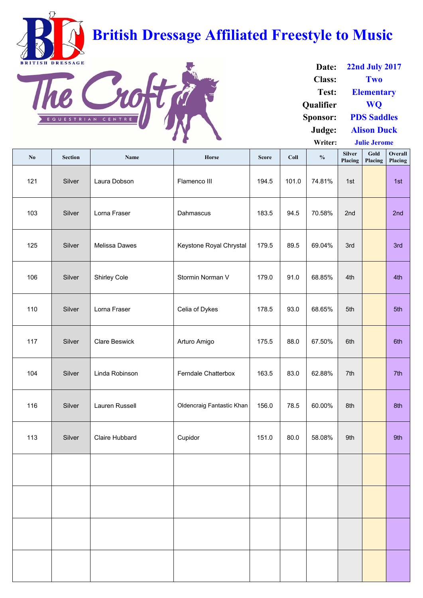

| $\mathbf{N}\mathbf{0}$ | <b>Section</b> | <b>Name</b>           | Horse                      | <b>Score</b> | <b>Coll</b> | $\frac{0}{0}$ | <b>Silver</b><br>Placing | Gold<br>Placing | Overall<br>Placing |
|------------------------|----------------|-----------------------|----------------------------|--------------|-------------|---------------|--------------------------|-----------------|--------------------|
| 121                    | Silver         | Laura Dobson          | Flamenco III               | 194.5        | 101.0       | 74.81%        | 1st                      |                 | 1st                |
| 103                    | Silver         | Lorna Fraser          | Dahmascus                  | 183.5        | 94.5        | 70.58%        | 2nd                      |                 | 2nd                |
| 125                    | Silver         | <b>Melissa Dawes</b>  | Keystone Royal Chrystal    | 179.5        | 89.5        | 69.04%        | 3rd                      |                 | 3rd                |
| 106                    | Silver         | <b>Shirley Cole</b>   | Stormin Norman V           | 179.0        | 91.0        | 68.85%        | 4th                      |                 | 4th                |
| 110                    | Silver         | Lorna Fraser          | Celia of Dykes             | 178.5        | 93.0        | 68.65%        | 5th                      |                 | 5th                |
| 117                    | Silver         | <b>Clare Beswick</b>  | Arturo Amigo               | 175.5        | 88.0        | 67.50%        | 6th                      |                 | 6th                |
| 104                    | Silver         | Linda Robinson        | <b>Ferndale Chatterbox</b> | 163.5        | 83.0        | 62.88%        | 7th                      |                 | 7th                |
| 116                    | Silver         | Lauren Russell        | Oldencraig Fantastic Khan  | 156.0        | 78.5        | 60.00%        | 8th                      |                 | 8th                |
| 113                    | Silver         | <b>Claire Hubbard</b> | Cupidor                    | 151.0        | 80.0        | 58.08%        | 9th                      |                 | 9th                |
|                        |                |                       |                            |              |             |               |                          |                 |                    |
|                        |                |                       |                            |              |             |               |                          |                 |                    |
|                        |                |                       |                            |              |             |               |                          |                 |                    |
|                        |                |                       |                            |              |             |               |                          |                 |                    |

| Date:            | <b>22nd July 2017</b> |  |  |  |
|------------------|-----------------------|--|--|--|
| <b>Class:</b>    | Two                   |  |  |  |
| Test:            | <b>Elementary</b>     |  |  |  |
| <b>Qualifier</b> | <b>WO</b>             |  |  |  |
| <b>Sponsor:</b>  | <b>PDS Saddles</b>    |  |  |  |
| Judge:           | <b>Alison Duck</b>    |  |  |  |

**Writer: Julie Jerome**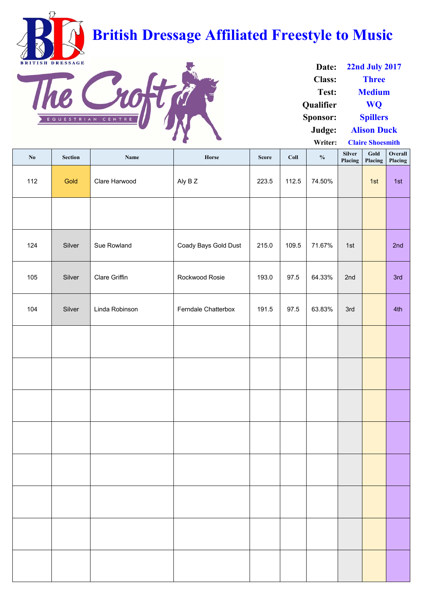

| Date:            | <b>22nd July 2017</b>   |  |  |  |
|------------------|-------------------------|--|--|--|
| <b>Class:</b>    | <b>Three</b>            |  |  |  |
| Test:            | <b>Medium</b>           |  |  |  |
| <b>Qualifier</b> | <b>WO</b>               |  |  |  |
| <b>Sponsor:</b>  | <b>Spillers</b>         |  |  |  |
| Judge:           | <b>Alison Duck</b>      |  |  |  |
| Writer:          | <b>Claire Shoesmith</b> |  |  |  |

**No Section Name Horse Score Coll % Silver Placing Gold Placing Overall Placing** 112 | Gold Clare Harwood | Aly B Z | 223.5 | 112.5 | 74.50% | | 1st | 1st 124 | Silver | Sue Rowland | Coady Bays Gold Dust | 215.0 | 109.5 | 71.67% | 1st | | | 2nd 105 | Silver | Clare Griffin | Rockwood Rosie | 193.0 | 97.5 | 64.33% | 2nd | | 3rd 104 | Silver | Linda Robinson | Ferndale Chatterbox | 191.5 | 97.5 | 63.83% | 3rd | | 4th